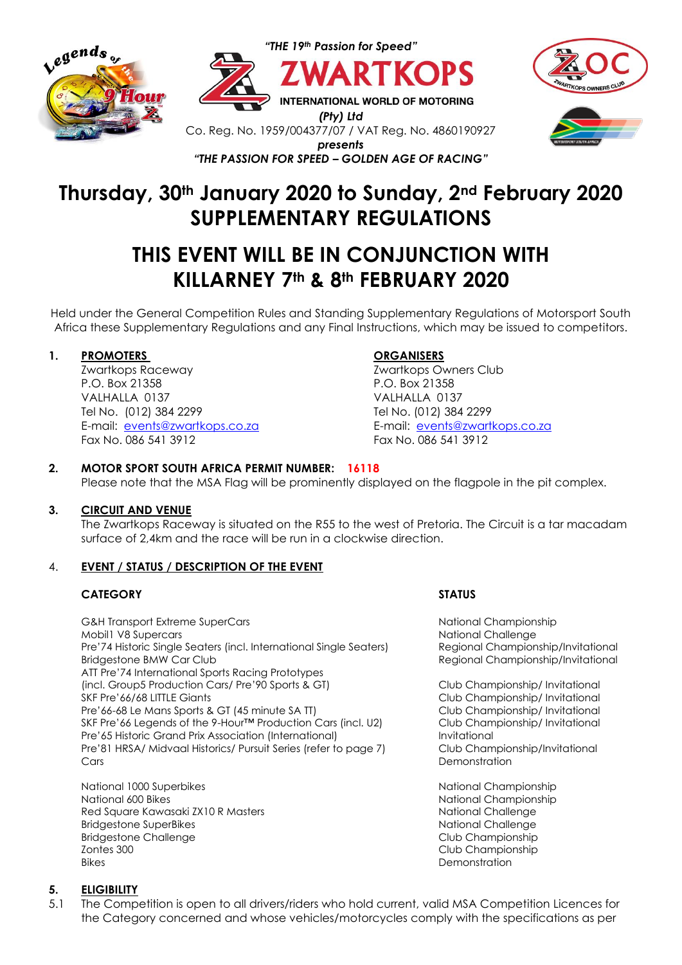







# **Thursday, 30th January 2020 to Sunday, 2nd February 2020 SUPPLEMENTARY REGULATIONS**

# **THIS EVENT WILL BE IN CONJUNCTION WITH KILLARNEY 7th & 8th FEBRUARY 2020**

Held under the General Competition Rules and Standing Supplementary Regulations of Motorsport South Africa these Supplementary Regulations and any Final Instructions, which may be issued to competitors.

## **1. PROMOTERS ORGANISERS**

Zwartkops Raceway Zwartkops Owners Club P.O. Box 21358 P.O. Box 21358 VALHALLA 0137 VALHALLA 0137 Tel No. (012) 384 2299 Tel No. (012) 384 2299 E-mail: [events@zwartkops.co.za](mailto:events@zwartkops.co.za) E-mail: [events@zwartkops.co.za](mailto:events@zwartkops.co.za) Fax No. 086 541 3912 Fax No. 086 541 3912

## **2. MOTOR SPORT SOUTH AFRICA PERMIT NUMBER: 16118**

Please note that the MSA Flag will be prominently displayed on the flagpole in the pit complex.

## **3. CIRCUIT AND VENUE**

The Zwartkops Raceway is situated on the R55 to the west of Pretoria. The Circuit is a tar macadam surface of 2,4km and the race will be run in a clockwise direction.

## 4. **EVENT / STATUS / DESCRIPTION OF THE EVENT**

## **CATEGORY STATUS**

G&H Transport Extreme SuperCars National Championship Mobil1 V8 Supercars National Challenge National Challenge Pre'74 Historic Single Seaters (incl. International Single Seaters) Regional Championship/Invitational Bridgestone BMW Car Club **Regional Championship/Invitational** Regional Championship/Invitational ATT Pre'74 International Sports Racing Prototypes (incl. Group5 Production Cars/ Pre'90 Sports & GT) Club Championship/ Invitational SKF Pre'66/68 LITTLE Giants Club Championship/ Invitational Pre'66-68 Le Mans Sports & GT (45 minute SA TT) Club Championship/ Invitational SKF Pre'66 Legends of the 9-Hour™ Production Cars (incl. U2) Club Championship/ Invitational Pre'65 Historic Grand Prix Association (International) Invitational Pre'81 HRSA/ Midvaal Historics/ Pursuit Series (refer to page 7) Club Championship/Invitational Cars Demonstration

National 1000 Superbikes National Championship National 600 Bikes National Championship National Championship Red Square Kawasaki ZX10 R Masters National Challenge National Challenge Bridgestone SuperBikes National Challenge National Challenge Bridgestone Challenge Communication Club Championship Zontes 300 Club Championship Bikes Demonstration

## **5. ELIGIBILITY**

5.1 The Competition is open to all drivers/riders who hold current, valid MSA Competition Licences for the Category concerned and whose vehicles/motorcycles comply with the specifications as per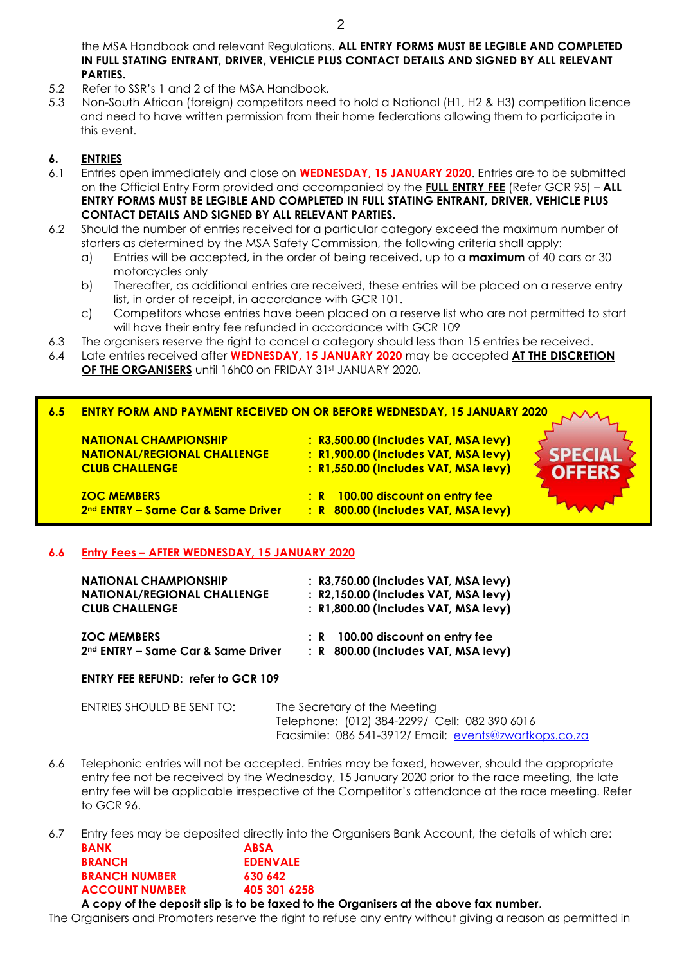the MSA Handbook and relevant Regulations. **ALL ENTRY FORMS MUST BE LEGIBLE AND COMPLETED IN FULL STATING ENTRANT, DRIVER, VEHICLE PLUS CONTACT DETAILS AND SIGNED BY ALL RELEVANT PARTIES.**

- 5.2 Refer to SSR's 1 and 2 of the MSA Handbook.
- 5.3 Non-South African (foreign) competitors need to hold a National (H1, H2 & H3) competition licence and need to have written permission from their home federations allowing them to participate in this event.

## **6. ENTRIES**

- 6.1 Entries open immediately and close on **WEDNESDAY, 15 JANUARY 2020**. Entries are to be submitted on the Official Entry Form provided and accompanied by the **FULL ENTRY FEE** (Refer GCR 95) – **ALL ENTRY FORMS MUST BE LEGIBLE AND COMPLETED IN FULL STATING ENTRANT, DRIVER, VEHICLE PLUS CONTACT DETAILS AND SIGNED BY ALL RELEVANT PARTIES.**
- 6.2 Should the number of entries received for a particular category exceed the maximum number of starters as determined by the MSA Safety Commission, the following criteria shall apply:
	- a) Entries will be accepted, in the order of being received, up to a **maximum** of 40 cars or 30 motorcycles only
	- b) Thereafter, as additional entries are received, these entries will be placed on a reserve entry list, in order of receipt, in accordance with GCR 101.
	- c) Competitors whose entries have been placed on a reserve list who are not permitted to start will have their entry fee refunded in accordance with GCR 109
- 6.3 The organisers reserve the right to cancel a category should less than 15 entries be received.
- 6.4 Late entries received after **WEDNESDAY, 15 JANUARY 2020** may be accepted **AT THE DISCRETION OF THE ORGANISERS** until 16h00 on FRIDAY 31st JANUARY 2020.

|                                 | <b>6.5 ENTRY FORM AND PAYMENT RECEIVED ON OR BEFORE WEDNESDAY, 15 JANUARY 2020 CAVACA</b> |  |
|---------------------------------|-------------------------------------------------------------------------------------------|--|
|                                 |                                                                                           |  |
| <b>NIATIONIAI CUAMBIONICUID</b> | . B2 E00.00 (Includes VAT AASA Jove)                                                      |  |

**NATIONAL CHAMPIONSHIP : R3,500.00 (Includes VAT, MSA levy) NATIONAL/REGIONAL CHALLENGE : R1,900.00 (Includes VAT, MSA levy) CLUB CHALLENGE : R1,550.00 (Includes VAT, MSA levy)**

**ZOC MEMBERS : R 100.00 discount on entry fee 2nd ENTRY – Same Car & Same Driver : R 800.00 (Includes VAT, MSA levy)**

## **6.6 Entry Fees – AFTER WEDNESDAY, 15 JANUARY 2020**

| <b>NATIONAL CHAMPIONSHIP</b>                   | : R3,750.00 (Includes VAT, MSA levy) |
|------------------------------------------------|--------------------------------------|
| <b>NATIONAL/REGIONAL CHALLENGE</b>             | : R2,150.00 (Includes VAT, MSA levy) |
| <b>CLUB CHALLENGE</b>                          | : R1,800.00 (Includes VAT, MSA levy) |
| <b>ZOC MEMBERS</b>                             | : R 100.00 discount on entry fee     |
| 2 <sup>nd</sup> ENTRY – Same Car & Same Driver | : R 800.00 (Includes VAT, MSA levy)  |

## **ENTRY FEE REFUND: refer to GCR 109**

| ENTRIES SHOULD BE SENT TO: |  |
|----------------------------|--|
|                            |  |

The Secretary of the Meeting Telephone: (012) 384-2299/ Cell: 082 390 6016 Facsimile: 086 541-3912/ Email: [events@zwartkops.co.za](mailto:events@zwartkops.co.za)

- 6.6 Telephonic entries will not be accepted. Entries may be faxed, however, should the appropriate entry fee not be received by the Wednesday, 15 January 2020 prior to the race meeting, the late entry fee will be applicable irrespective of the Competitor's attendance at the race meeting. Refer to GCR 96.
- 6.7 Entry fees may be deposited directly into the Organisers Bank Account, the details of which are: **BANK ABSA**

|                                              | .               |
|----------------------------------------------|-----------------|
| <b>BRANCH</b>                                | <b>EDENVALE</b> |
| <b>BRANCH NUMBER</b>                         | 630 642         |
| <b>ACCOUNT NUMBER</b>                        | 405 301 6258    |
| A copy of the depecit slip is to be faved to |                 |

**A copy of the deposit slip is to be faxed to the Organisers at the above fax number**.

The Organisers and Promoters reserve the right to refuse any entry without giving a reason as permitted in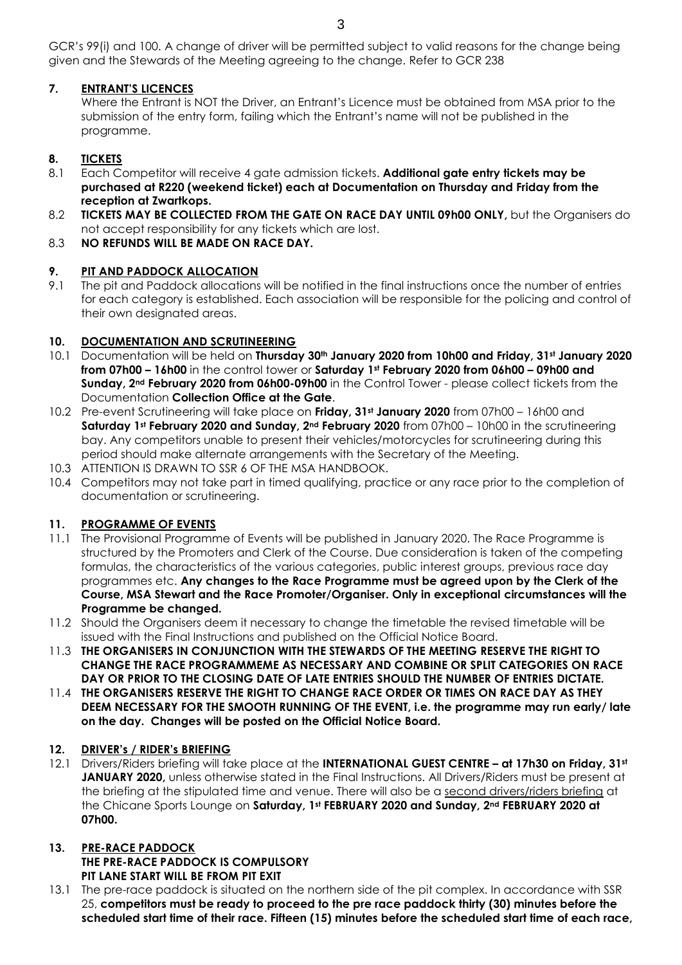GCR's 99(i) and 100. A change of driver will be permitted subject to valid reasons for the change being given and the Stewards of the Meeting agreeing to the change. Refer to GCR 238

## **7. ENTRANT'S LICENCES**

Where the Entrant is NOT the Driver, an Entrant's Licence must be obtained from MSA prior to the submission of the entry form, failing which the Entrant's name will not be published in the programme.

## **8. TICKETS**

- 8.1 Each Competitor will receive 4 gate admission tickets. **Additional gate entry tickets may be purchased at R220 (weekend ticket) each at Documentation on Thursday and Friday from the reception at Zwartkops.**
- 8.2 **TICKETS MAY BE COLLECTED FROM THE GATE ON RACE DAY UNTIL 09h00 ONLY,** but the Organisers do not accept responsibility for any tickets which are lost.
- 8.3 **NO REFUNDS WILL BE MADE ON RACE DAY.**

## **9. PIT AND PADDOCK ALLOCATION**

9.1 The pit and Paddock allocations will be notified in the final instructions once the number of entries for each category is established. Each association will be responsible for the policing and control of their own designated areas.

## **10. DOCUMENTATION AND SCRUTINEERING**

- 10.1 Documentation will be held on **Thursday 30th January 2020 from 10h00 and Friday, 31st January 2020 from 07h00 – 16h00** in the control tower or **Saturday 1st February 2020 from 06h00 – 09h00 and Sunday, 2nd February 2020 from 06h00-09h00** in the Control Tower - please collect tickets from the Documentation **Collection Office at the Gate**.
- 10.2 Pre-event Scrutineering will take place on **Friday, 31st January 2020** from 07h00 16h00 and **Saturday 1st February 2020 and Sunday, 2nd February 2020** from 07h00 – 10h00 in the scrutineering bay. Any competitors unable to present their vehicles/motorcycles for scrutineering during this period should make alternate arrangements with the Secretary of the Meeting.
- 10.3 ATTENTION IS DRAWN TO SSR 6 OF THE MSA HANDBOOK.
- 10.4 Competitors may not take part in timed qualifying, practice or any race prior to the completion of documentation or scrutineering.

## **11. PROGRAMME OF EVENTS**

- 11.1 The Provisional Programme of Events will be published in January 2020. The Race Programme is structured by the Promoters and Clerk of the Course. Due consideration is taken of the competing formulas, the characteristics of the various categories, public interest groups, previous race day programmes etc. **Any changes to the Race Programme must be agreed upon by the Clerk of the Course, MSA Stewart and the Race Promoter/Organiser. Only in exceptional circumstances will the Programme be changed.**
- 11.2 Should the Organisers deem it necessary to change the timetable the revised timetable will be issued with the Final Instructions and published on the Official Notice Board.
- 11.3 **THE ORGANISERS IN CONJUNCTION WITH THE STEWARDS OF THE MEETING RESERVE THE RIGHT TO CHANGE THE RACE PROGRAMMEME AS NECESSARY AND COMBINE OR SPLIT CATEGORIES ON RACE DAY OR PRIOR TO THE CLOSING DATE OF LATE ENTRIES SHOULD THE NUMBER OF ENTRIES DICTATE.**
- 11.4 **THE ORGANISERS RESERVE THE RIGHT TO CHANGE RACE ORDER OR TIMES ON RACE DAY AS THEY DEEM NECESSARY FOR THE SMOOTH RUNNING OF THE EVENT, i.e. the programme may run early/ late on the day. Changes will be posted on the Official Notice Board.**

## **12. DRIVER's / RIDER's BRIEFING**

12.1 Drivers/Riders briefing will take place at the **INTERNATIONAL GUEST CENTRE – at 17h30 on Friday, 31st JANUARY 2020,** unless otherwise stated in the Final Instructions. All Drivers/Riders must be present at the briefing at the stipulated time and venue. There will also be a second drivers/riders briefing at the Chicane Sports Lounge on **Saturday, 1st FEBRUARY 2020 and Sunday, 2nd FEBRUARY 2020 at 07h00.**

## **13. PRE-RACE PADDOCK THE PRE-RACE PADDOCK IS COMPULSORY PIT LANE START WILL BE FROM PIT EXIT**

13.1 The pre-race paddock is situated on the northern side of the pit complex. In accordance with SSR 25, **competitors must be ready to proceed to the pre race paddock thirty (30) minutes before the scheduled start time of their race. Fifteen (15) minutes before the scheduled start time of each race,**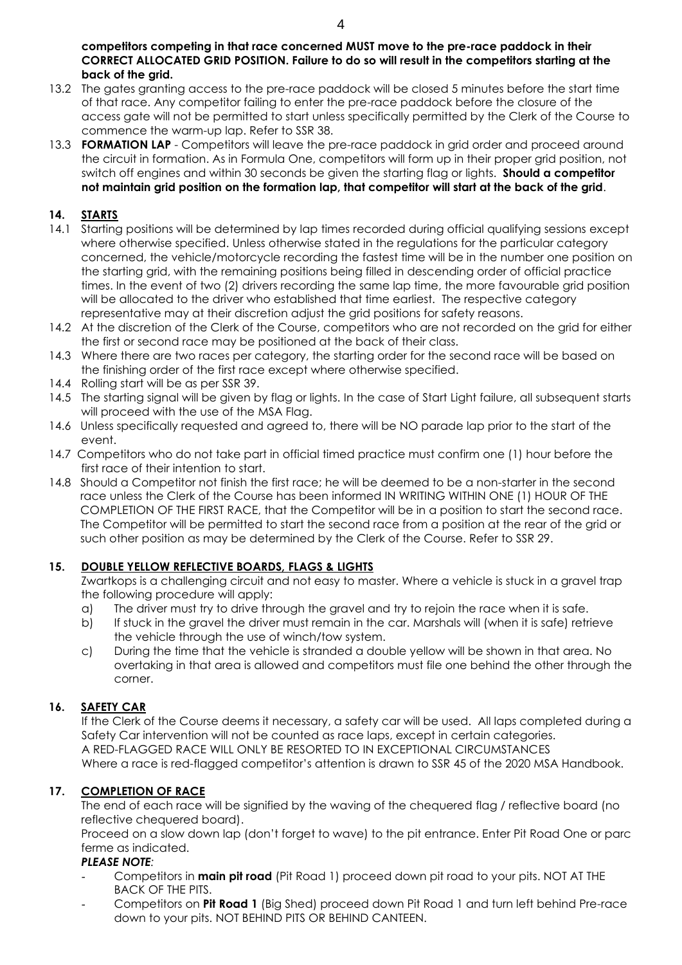**competitors competing in that race concerned MUST move to the pre-race paddock in their CORRECT ALLOCATED GRID POSITION. Failure to do so will result in the competitors starting at the back of the grid.** 

- 13.2 The gates granting access to the pre-race paddock will be closed 5 minutes before the start time of that race. Any competitor failing to enter the pre-race paddock before the closure of the access gate will not be permitted to start unless specifically permitted by the Clerk of the Course to commence the warm-up lap. Refer to SSR 38.
- 13.3 **FORMATION LAP** Competitors will leave the pre-race paddock in grid order and proceed around the circuit in formation. As in Formula One, competitors will form up in their proper grid position, not switch off engines and within 30 seconds be given the starting flag or lights. **Should a competitor not maintain grid position on the formation lap, that competitor will start at the back of the grid**.

## **14. STARTS**

- 14.1 Starting positions will be determined by lap times recorded during official qualifying sessions except where otherwise specified. Unless otherwise stated in the regulations for the particular category concerned, the vehicle/motorcycle recording the fastest time will be in the number one position on the starting grid, with the remaining positions being filled in descending order of official practice times. In the event of two (2) drivers recording the same lap time, the more favourable grid position will be allocated to the driver who established that time earliest. The respective category representative may at their discretion adjust the grid positions for safety reasons.
- 14.2 At the discretion of the Clerk of the Course, competitors who are not recorded on the grid for either the first or second race may be positioned at the back of their class.
- 14.3 Where there are two races per category, the starting order for the second race will be based on the finishing order of the first race except where otherwise specified.
- 14.4 Rolling start will be as per SSR 39.
- 14.5 The starting signal will be given by flag or lights. In the case of Start Light failure, all subsequent starts will proceed with the use of the MSA Flag.
- 14.6 Unless specifically requested and agreed to, there will be NO parade lap prior to the start of the event.
- 14.7 Competitors who do not take part in official timed practice must confirm one (1) hour before the first race of their intention to start.
- 14.8 Should a Competitor not finish the first race; he will be deemed to be a non-starter in the second race unless the Clerk of the Course has been informed IN WRITING WITHIN ONE (1) HOUR OF THE COMPLETION OF THE FIRST RACE, that the Competitor will be in a position to start the second race. The Competitor will be permitted to start the second race from a position at the rear of the grid or such other position as may be determined by the Clerk of the Course. Refer to SSR 29.

## **15. DOUBLE YELLOW REFLECTIVE BOARDS, FLAGS & LIGHTS**

Zwartkops is a challenging circuit and not easy to master. Where a vehicle is stuck in a gravel trap the following procedure will apply:

- a) The driver must try to drive through the gravel and try to rejoin the race when it is safe.
- b) If stuck in the gravel the driver must remain in the car. Marshals will (when it is safe) retrieve the vehicle through the use of winch/tow system.
- c) During the time that the vehicle is stranded a double yellow will be shown in that area. No overtaking in that area is allowed and competitors must file one behind the other through the corner.

## **16. SAFETY CAR**

If the Clerk of the Course deems it necessary, a safety car will be used. All laps completed during a Safety Car intervention will not be counted as race laps, except in certain categories. A RED-FLAGGED RACE WILL ONLY BE RESORTED TO IN EXCEPTIONAL CIRCUMSTANCES Where a race is red-flagged competitor's attention is drawn to SSR 45 of the 2020 MSA Handbook.

## **17. COMPLETION OF RACE**

The end of each race will be signified by the waving of the chequered flag / reflective board (no reflective chequered board).

Proceed on a slow down lap (don't forget to wave) to the pit entrance. Enter Pit Road One or parc ferme as indicated.

## *PLEASE NOTE:*

- Competitors in **main pit road** (Pit Road 1) proceed down pit road to your pits. NOT AT THE BACK OF THE PITS.
- Competitors on **Pit Road 1** (Big Shed) proceed down Pit Road 1 and turn left behind Pre-race down to your pits. NOT BEHIND PITS OR BEHIND CANTEEN.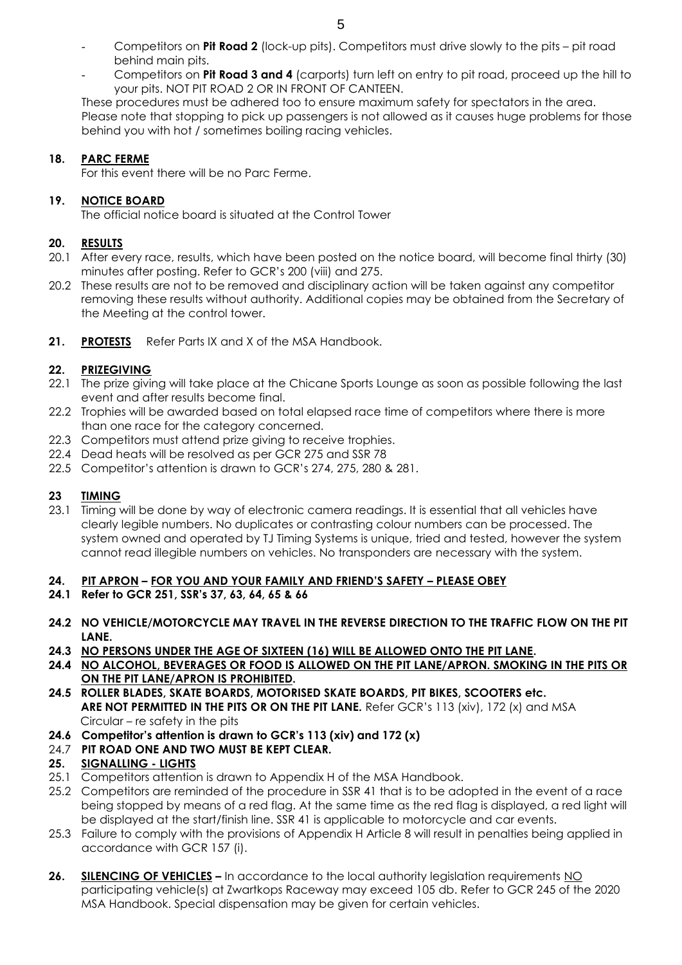- Competitors on **Pit Road 2** (lock-up pits). Competitors must drive slowly to the pits pit road behind main pits.
- Competitors on **Pit Road 3 and 4** (carports) turn left on entry to pit road, proceed up the hill to your pits. NOT PIT ROAD 2 OR IN FRONT OF CANTEEN.

These procedures must be adhered too to ensure maximum safety for spectators in the area. Please note that stopping to pick up passengers is not allowed as it causes huge problems for those behind you with hot / sometimes boiling racing vehicles.

## **18. PARC FERME**

For this event there will be no Parc Ferme.

## **19. NOTICE BOARD**

The official notice board is situated at the Control Tower

## **20. RESULTS**

- 20.1 After every race, results, which have been posted on the notice board, will become final thirty (30) minutes after posting. Refer to GCR's 200 (viii) and 275.
- 20.2 These results are not to be removed and disciplinary action will be taken against any competitor removing these results without authority. Additional copies may be obtained from the Secretary of the Meeting at the control tower.
- 21. **PROTESTS** Refer Parts IX and X of the MSA Handbook.

## **22. PRIZEGIVING**

- 22.1 The prize giving will take place at the Chicane Sports Lounge as soon as possible following the last event and after results become final.
- 22.2 Trophies will be awarded based on total elapsed race time of competitors where there is more than one race for the category concerned.
- 22.3 Competitors must attend prize giving to receive trophies.
- 22.4 Dead heats will be resolved as per GCR 275 and SSR 78
- 22.5 Competitor's attention is drawn to GCR's 274, 275, 280 & 281.

## **23 TIMING**

23.1 Timing will be done by way of electronic camera readings. It is essential that all vehicles have clearly legible numbers. No duplicates or contrasting colour numbers can be processed. The system owned and operated by TJ Timing Systems is unique, tried and tested, however the system cannot read illegible numbers on vehicles. No transponders are necessary with the system.

## **24. PIT APRON – FOR YOU AND YOUR FAMILY AND FRIEND'S SAFETY – PLEASE OBEY**

- **24.1 Refer to GCR 251, SSR's 37, 63, 64, 65 & 66**
- **24.2 NO VEHICLE/MOTORCYCLE MAY TRAVEL IN THE REVERSE DIRECTION TO THE TRAFFIC FLOW ON THE PIT LANE.**
- **24.3 NO PERSONS UNDER THE AGE OF SIXTEEN (16) WILL BE ALLOWED ONTO THE PIT LANE.**
- **24.4 NO ALCOHOL, BEVERAGES OR FOOD IS ALLOWED ON THE PIT LANE/APRON. SMOKING IN THE PITS OR ON THE PIT LANE/APRON IS PROHIBITED.**
- **24.5 ROLLER BLADES, SKATE BOARDS, MOTORISED SKATE BOARDS, PIT BIKES, SCOOTERS etc. ARE NOT PERMITTED IN THE PITS OR ON THE PIT LANE.** Refer GCR's 113 (xiv), 172 (x) and MSA Circular – re safety in the pits
- **24.6 Competitor's attention is drawn to GCR's 113 (xiv) and 172 (x)**
- 24.7 **PIT ROAD ONE AND TWO MUST BE KEPT CLEAR.**

## **25. SIGNALLING - LIGHTS**

- 25.1 Competitors attention is drawn to Appendix H of the MSA Handbook.
- 25.2 Competitors are reminded of the procedure in SSR 41 that is to be adopted in the event of a race being stopped by means of a red flag. At the same time as the red flag is displayed, a red light will be displayed at the start/finish line. SSR 41 is applicable to motorcycle and car events.
- 25.3 Failure to comply with the provisions of Appendix H Article 8 will result in penalties being applied in accordance with GCR 157 (i).
- **26. SILENCING OF VEHICLES** In accordance to the local authority legislation requirements NO participating vehicle(s) at Zwartkops Raceway may exceed 105 db. Refer to GCR 245 of the 2020 MSA Handbook. Special dispensation may be given for certain vehicles.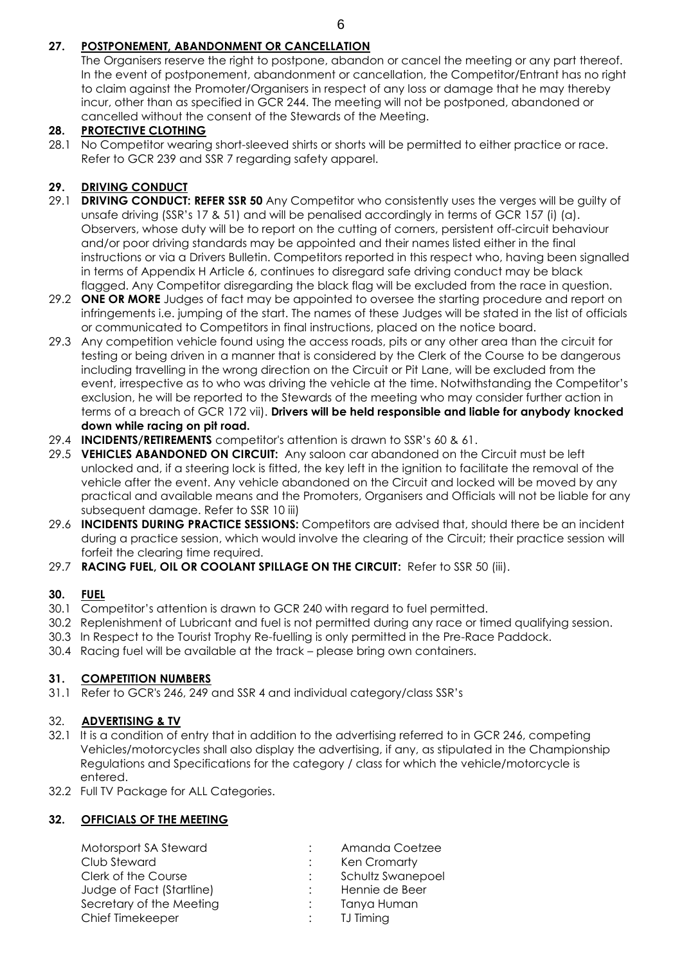## **27. POSTPONEMENT, ABANDONMENT OR CANCELLATION**

The Organisers reserve the right to postpone, abandon or cancel the meeting or any part thereof. In the event of postponement, abandonment or cancellation, the Competitor/Entrant has no right to claim against the Promoter/Organisers in respect of any loss or damage that he may thereby incur, other than as specified in GCR 244. The meeting will not be postponed, abandoned or cancelled without the consent of the Stewards of the Meeting.

## **28. PROTECTIVE CLOTHING**

28.1 No Competitor wearing short-sleeved shirts or shorts will be permitted to either practice or race. Refer to GCR 239 and SSR 7 regarding safety apparel.

## **29. DRIVING CONDUCT**

- 29.1 **DRIVING CONDUCT: REFER SSR 50** Any Competitor who consistently uses the verges will be guilty of unsafe driving (SSR's 17 & 51) and will be penalised accordingly in terms of GCR 157 (i) (a). Observers, whose duty will be to report on the cutting of corners, persistent off-circuit behaviour and/or poor driving standards may be appointed and their names listed either in the final instructions or via a Drivers Bulletin. Competitors reported in this respect who, having been signalled in terms of Appendix H Article 6, continues to disregard safe driving conduct may be black flagged. Any Competitor disregarding the black flag will be excluded from the race in question.
- 29.2 **ONE OR MORE** Judges of fact may be appointed to oversee the starting procedure and report on infringements i.e. jumping of the start. The names of these Judges will be stated in the list of officials or communicated to Competitors in final instructions, placed on the notice board.
- 29.3 Any competition vehicle found using the access roads, pits or any other area than the circuit for testing or being driven in a manner that is considered by the Clerk of the Course to be dangerous including travelling in the wrong direction on the Circuit or Pit Lane, will be excluded from the event, irrespective as to who was driving the vehicle at the time. Notwithstanding the Competitor's exclusion, he will be reported to the Stewards of the meeting who may consider further action in terms of a breach of GCR 172 vii). **Drivers will be held responsible and liable for anybody knocked down while racing on pit road.**
- 29.4 **INCIDENTS/RETIREMENTS** competitor's attention is drawn to SSR's 60 & 61.
- 29.5 **VEHICLES ABANDONED ON CIRCUIT:** Any saloon car abandoned on the Circuit must be left unlocked and, if a steering lock is fitted, the key left in the ignition to facilitate the removal of the vehicle after the event. Any vehicle abandoned on the Circuit and locked will be moved by any practical and available means and the Promoters, Organisers and Officials will not be liable for any subsequent damage. Refer to SSR 10 iii)
- 29.6 **INCIDENTS DURING PRACTICE SESSIONS:** Competitors are advised that, should there be an incident during a practice session, which would involve the clearing of the Circuit; their practice session will forfeit the clearing time required.
- 29.7 **RACING FUEL, OIL OR COOLANT SPILLAGE ON THE CIRCUIT:** Refer to SSR 50 (iii).

## **30. FUEL**

- 30.1 Competitor's attention is drawn to GCR 240 with regard to fuel permitted.
- 30.2 Replenishment of Lubricant and fuel is not permitted during any race or timed qualifying session.
- 30.3 In Respect to the Tourist Trophy Re-fuelling is only permitted in the Pre-Race Paddock.
- 30.4 Racing fuel will be available at the track please bring own containers.

## **31. COMPETITION NUMBERS**

31.1 Refer to GCR's 246, 249 and SSR 4 and individual category/class SSR's

## 32. **ADVERTISING & TV**

- 32.1 It is a condition of entry that in addition to the advertising referred to in GCR 246, competing Vehicles/motorcycles shall also display the advertising, if any, as stipulated in the Championship Regulations and Specifications for the category / class for which the vehicle/motorcycle is entered.
- 32.2 Full TV Package for ALL Categories.

## **32. OFFICIALS OF THE MEETING**

| Motorsport SA Steward     | Amanda Coetzee    |
|---------------------------|-------------------|
| Club Steward              | Ken Cromarty      |
| Clerk of the Course       | Schultz Swanepoel |
| Judge of Fact (Startline) | Hennie de Beer    |
| Secretary of the Meeting  | Tanya Human       |
| Chief Timekeeper          | <b>TJ Timing</b>  |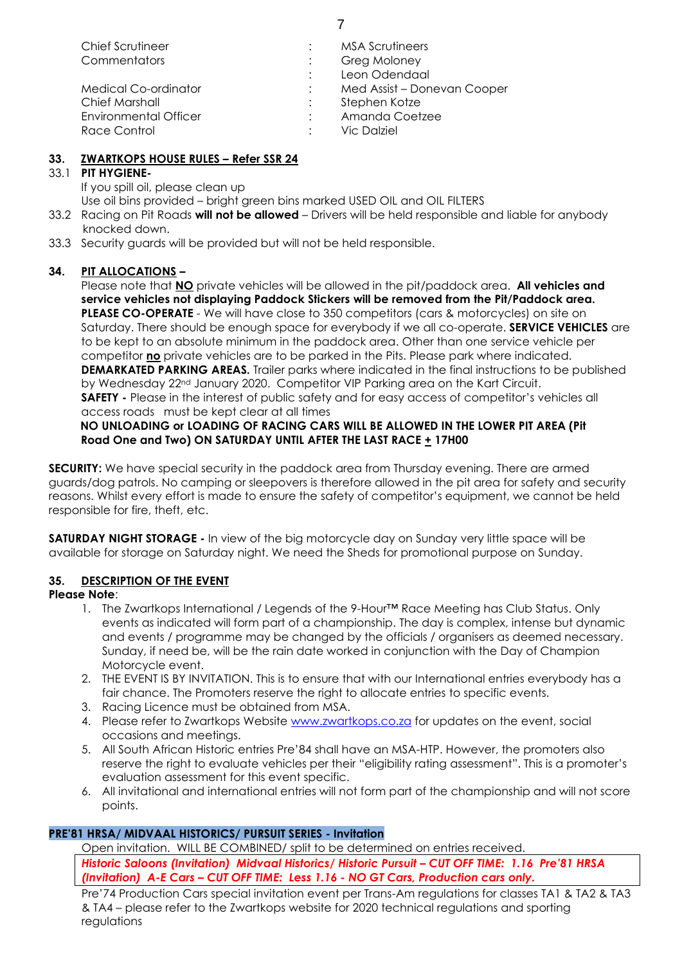| Chief Scrutineer             | <b>MSA Scrutineers</b>      |
|------------------------------|-----------------------------|
| Commentators                 | Greg Moloney                |
|                              | Leon Odendaal               |
| <b>Medical Co-ordinator</b>  | Med Assist - Donevan Cooper |
| <b>Chief Marshall</b>        | Stephen Kotze               |
| <b>Environmental Officer</b> | Amanda Coetzee              |
| Race Control                 | <b>Vic Dalziel</b>          |

## **33. ZWARTKOPS HOUSE RULES – Refer SSR 24**

## 33.1 **PIT HYGIENE-**

If you spill oil, please clean up

Use oil bins provided – bright green bins marked USED OIL and OIL FILTERS

33.2 Racing on Pit Roads **will not be allowed** – Drivers will be held responsible and liable for anybody knocked down.

33.3 Security guards will be provided but will not be held responsible.

## **34. PIT ALLOCATIONS –**

Please note that **NO** private vehicles will be allowed in the pit/paddock area. **All vehicles and service vehicles not displaying Paddock Stickers will be removed from the Pit/Paddock area. PLEASE CO-OPERATE** - We will have close to 350 competitors (cars & motorcycles) on site on Saturday. There should be enough space for everybody if we all co-operate. **SERVICE VEHICLES** are to be kept to an absolute minimum in the paddock area. Other than one service vehicle per competitor **no** private vehicles are to be parked in the Pits. Please park where indicated. **DEMARKATED PARKING AREAS.** Trailer parks where indicated in the final instructions to be published by Wednesday 22<sup>nd</sup> January 2020. Competitor VIP Parking area on the Kart Circuit. **SAFETY -** Please in the interest of public safety and for easy access of competitor's vehicles all access roads must be kept clear at all times

#### **NO UNLOADING or LOADING OF RACING CARS WILL BE ALLOWED IN THE LOWER PIT AREA (Pit Road One and Two) ON SATURDAY UNTIL AFTER THE LAST RACE + 17H00**

**SECURITY:** We have special security in the paddock area from Thursday evening. There are armed guards/dog patrols. No camping or sleepovers is therefore allowed in the pit area for safety and security reasons. Whilst every effort is made to ensure the safety of competitor's equipment, we cannot be held responsible for fire, theft, etc.

**SATURDAY NIGHT STORAGE -** In view of the big motorcycle day on Sunday very little space will be available for storage on Saturday night. We need the Sheds for promotional purpose on Sunday.

## **35. DESCRIPTION OF THE EVENT**

## **Please Note**:

- 1. The Zwartkops International / Legends of the 9-Hour™ Race Meeting has Club Status. Only events as indicated will form part of a championship. The day is complex, intense but dynamic and events / programme may be changed by the officials / organisers as deemed necessary. Sunday, if need be, will be the rain date worked in conjunction with the Day of Champion Motorcycle event.
- 2. THE EVENT IS BY INVITATION. This is to ensure that with our International entries everybody has a fair chance. The Promoters reserve the right to allocate entries to specific events.
- 3. Racing Licence must be obtained from MSA.
- 4. Please refer to Zwartkops Website [www.zwartkops.co.za](http://www.zwartkops.co.za/) for updates on the event, social occasions and meetings.
- 5. All South African Historic entries Pre'84 shall have an MSA-HTP. However, the promoters also reserve the right to evaluate vehicles per their "eligibility rating assessment". This is a promoter's evaluation assessment for this event specific.
- 6. All invitational and international entries will not form part of the championship and will not score points.

## **PRE'81 HRSA/ MIDVAAL HISTORICS/ PURSUIT SERIES - Invitation**

Open invitation. WILL BE COMBINED/ split to be determined on entries received.

*Historic Saloons (Invitation) Midvaal Historics/ Historic Pursuit – CUT OFF TIME: 1.16 Pre'81 HRSA (Invitation) A-E Cars – CUT OFF TIME: Less 1.16 - NO GT Cars, Production cars only.*

Pre'74 Production Cars special invitation event per Trans-Am regulations for classes TA1 & TA2 & TA3 & TA4 – please refer to the Zwartkops website for 2020 technical regulations and sporting regulations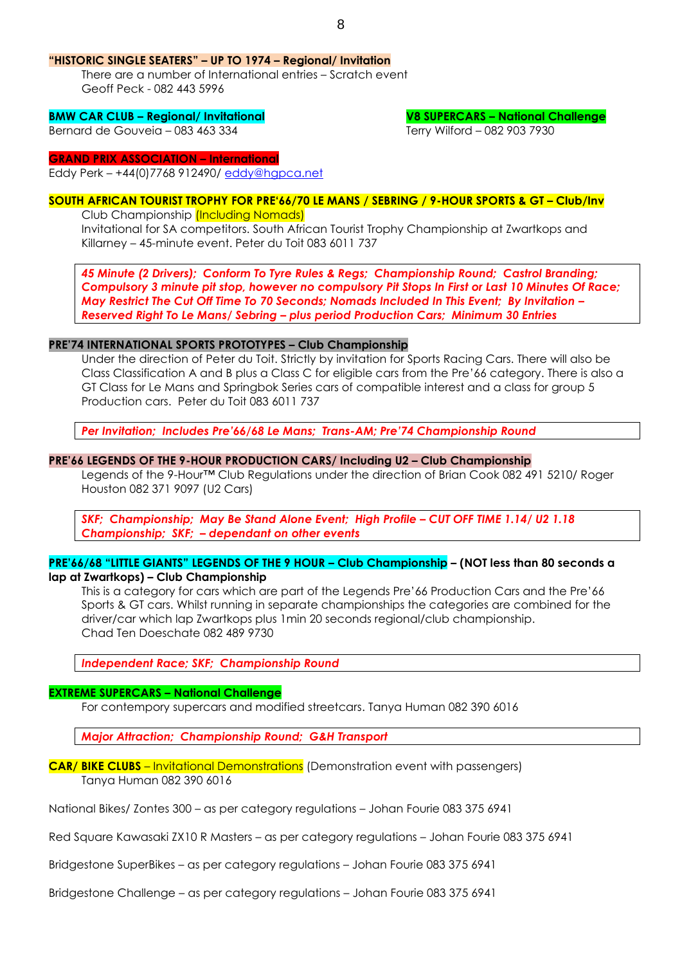#### 8

#### **"HISTORIC SINGLE SEATERS" – UP TO 1974 – Regional/ Invitation**

There are a number of International entries – Scratch event Geoff Peck - 082 443 5996

#### **BMW CAR CLUB – Regional/ Invitational V8 SUPERCARS – National Challenge**

Bernard de Gouveia – 083 463 334 Terry Wilford – 082 903 7930

#### **GRAND PRIX ASSOCIATION – International**

Eddy Perk – +44(0)7768 912490/ [eddy@hgpca.net](mailto:eddy@hgpca.net)

## **SOUTH AFRICAN TOURIST TROPHY FOR PRE'66/70 LE MANS / SEBRING / 9-HOUR SPORTS & GT – Club/Inv**

Club Championship (Including Nomads)

Invitational for SA competitors. South African Tourist Trophy Championship at Zwartkops and Killarney – 45-minute event. Peter du Toit 083 6011 737

*45 Minute (2 Drivers); Conform To Tyre Rules & Regs; Championship Round; Castrol Branding; Compulsory 3 minute pit stop, however no compulsory Pit Stops In First or Last 10 Minutes Of Race; May Restrict The Cut Off Time To 70 Seconds; Nomads Included In This Event; By Invitation – Reserved Right To Le Mans/ Sebring – plus period Production Cars; Minimum 30 Entries*

#### **PRE'74 INTERNATIONAL SPORTS PROTOTYPES – Club Championship**

Under the direction of Peter du Toit. Strictly by invitation for Sports Racing Cars. There will also be Class Classification A and B plus a Class C for eligible cars from the Pre'66 category. There is also a GT Class for Le Mans and Springbok Series cars of compatible interest and a class for group 5 Production cars. Peter du Toit 083 6011 737

*Per Invitation; Includes Pre'66/68 Le Mans; Trans-AM; Pre'74 Championship Round*

#### **PRE'66 LEGENDS OF THE 9-HOUR PRODUCTION CARS/ Including U2 – Club Championship**

Legends of the 9-Hour™ Club Regulations under the direction of Brian Cook 082 491 5210/ Roger Houston 082 371 9097 (U2 Cars)

*SKF; Championship; May Be Stand Alone Event; High Profile – CUT OFF TIME 1.14/ U2 1.18 Championship; SKF; – dependant on other events* 

## **PRE'66/68 "LITTLE GIANTS" LEGENDS OF THE 9 HOUR – Club Championship – (NOT less than 80 seconds a lap at Zwartkops) – Club Championship**

This is a category for cars which are part of the Legends Pre'66 Production Cars and the Pre'66 Sports & GT cars. Whilst running in separate championships the categories are combined for the driver/car which lap Zwartkops plus 1min 20 seconds regional/club championship. Chad Ten Doeschate 082 489 9730

*Independent Race; SKF; Championship Round* 

#### **EXTREME SUPERCARS – National Challenge**

For contempory supercars and modified streetcars. Tanya Human 082 390 6016

*Major Attraction; Championship Round; G&H Transport*

**CAR/ BIKE CLUBS** – Invitational Demonstrations (Demonstration event with passengers) Tanya Human 082 390 6016

National Bikes/ Zontes 300 – as per category regulations – Johan Fourie 083 375 6941

Red Square Kawasaki ZX10 R Masters – as per category regulations – Johan Fourie 083 375 6941

Bridgestone SuperBikes – as per category regulations – Johan Fourie 083 375 6941

Bridgestone Challenge – as per category regulations – Johan Fourie 083 375 6941